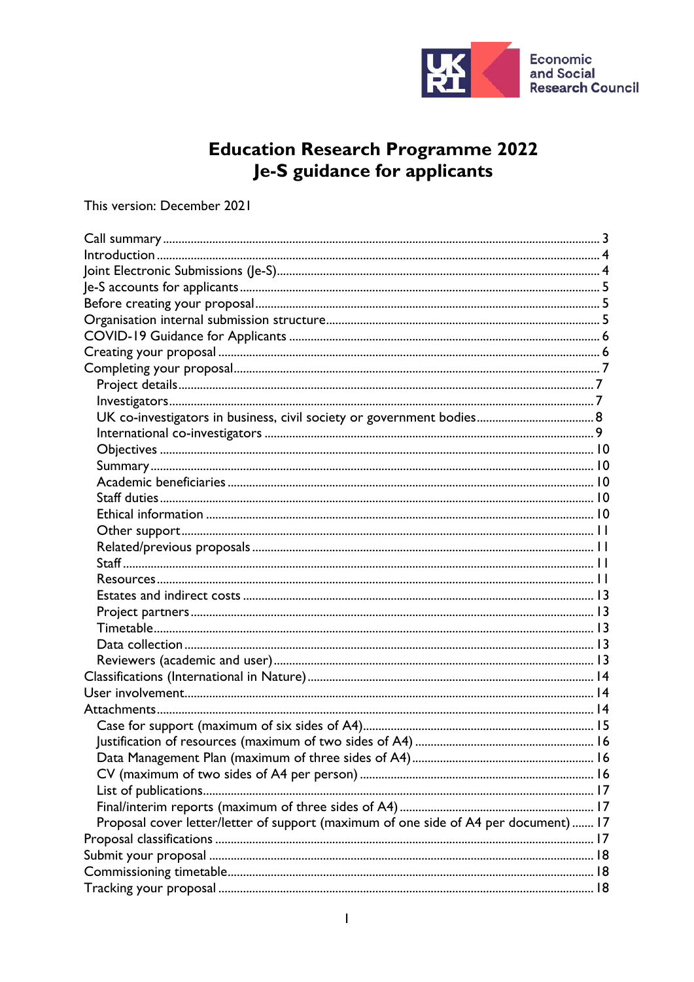

# Education Research Programme 2022<br>Je-S guidance for applicants

## This version: December 2021

| Proposal cover letter/letter of support (maximum of one side of A4 per document)  17 |  |
|--------------------------------------------------------------------------------------|--|
|                                                                                      |  |
|                                                                                      |  |
|                                                                                      |  |
|                                                                                      |  |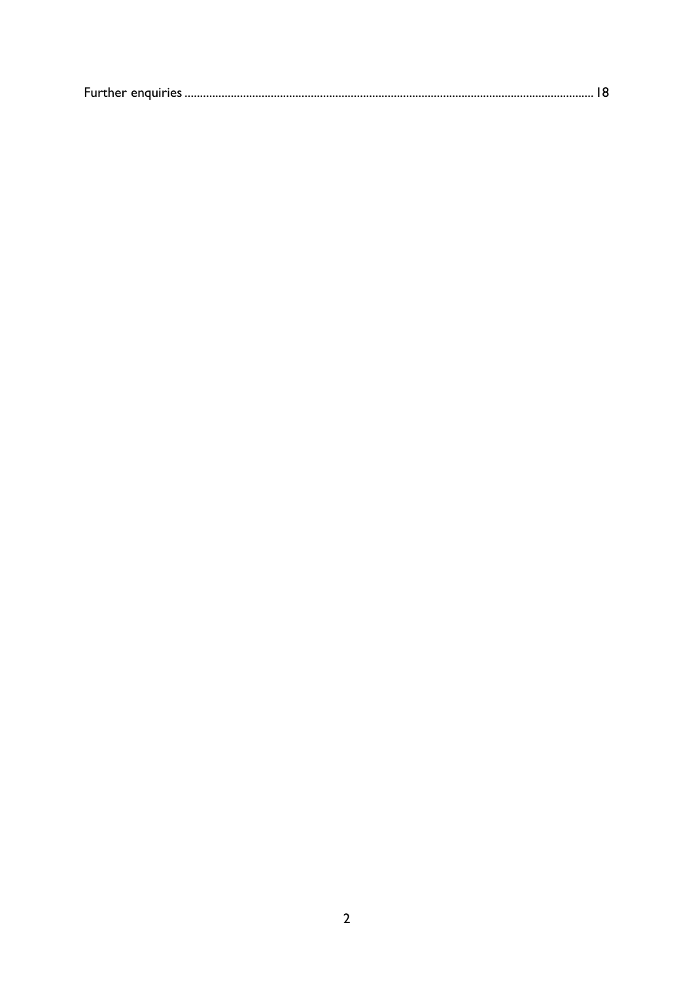|--|--|--|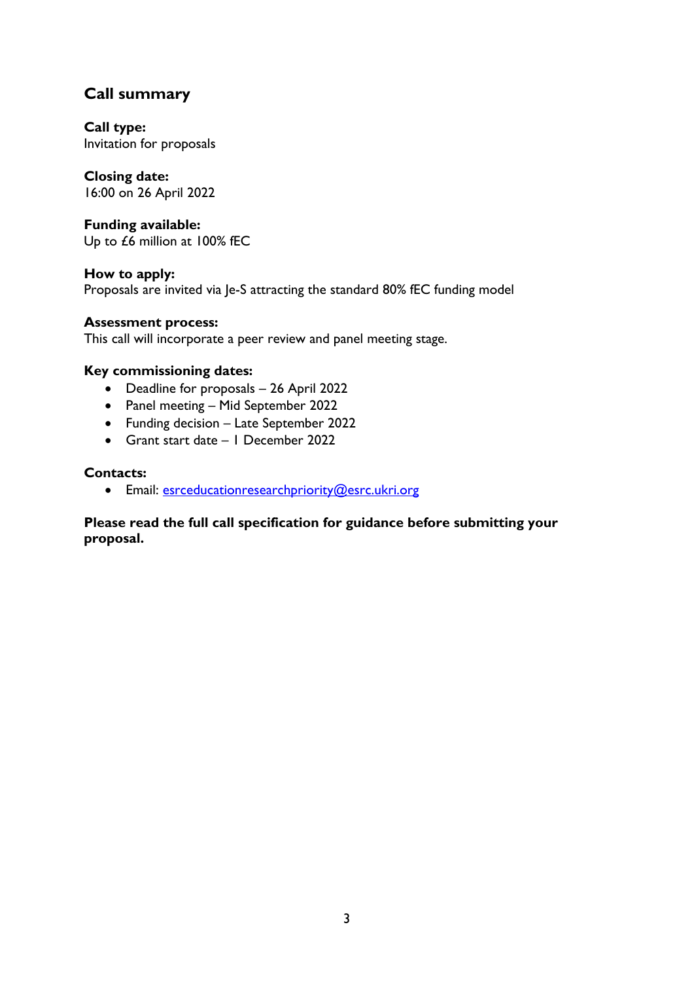# <span id="page-2-0"></span>**Call summary**

**Call type:**  Invitation for proposals

# **Closing date:**

16:00 on 26 April 2022

#### **Funding available:**

Up to £6 million at 100% fEC

**How to apply:** Proposals are invited via Je-S attracting the standard 80% fEC funding model

#### **Assessment process:**

This call will incorporate a peer review and panel meeting stage.

#### **Key commissioning dates:**

- Deadline for proposals 26 April 2022
- Panel meeting Mid September 2022
- Funding decision Late September 2022
- Grant start date 1 December 2022

#### **Contacts:**

• Email: [esrceducationresearchpriority@esrc.ukri.org](mailto:esrceducationresearchpriority@esrc.ukri.org)

#### **Please read the full call specification for guidance before submitting your proposal.**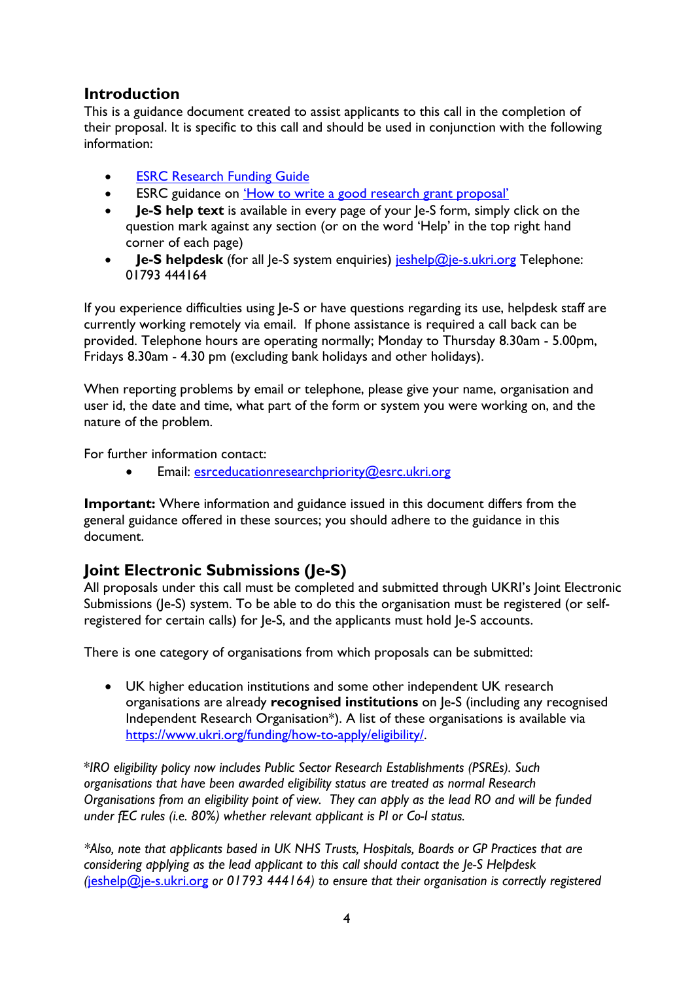## <span id="page-3-0"></span>**Introduction**

This is a guidance document created to assist applicants to this call in the completion of their proposal. It is specific to this call and should be used in conjunction with the following information:

- **[ESRC Research Funding Guide](https://esrc.ukri.org/funding/guidance-for-applicants/research-funding-guide/)**
- ESRC guidance on 'How to [write a good research grant proposal'](https://esrc.ukri.org/funding/guidance-for-applicants/how-to-write-a-good-research-grant-proposal/)
- **Je-S help text** is available in every page of your Je-S form, simply click on the question mark against any section (or on the word 'Help' in the top right hand corner of each page)
- **Je-S helpdesk** (for all Je-S system enquiries) [jeshelp@je-s.ukri.org](mailto:jeshelp@je-s.ukri.org) Telephone: 01793 444164

If you experience difficulties using Je-S or have questions regarding its use, helpdesk staff are currently working remotely via email. If phone assistance is required a call back can be provided. Telephone hours are operating normally; Monday to Thursday 8.30am - 5.00pm, Fridays 8.30am - 4.30 pm (excluding bank holidays and other holidays).

When reporting problems by email or telephone, please give your name, organisation and user id, the date and time, what part of the form or system you were working on, and the nature of the problem.

For further information contact:

• Email: [esrceducationresearchpriority@esrc.ukri.org](mailto:esrceducationresearchpriority@esrc.ukri.org)

**Important:** Where information and guidance issued in this document differs from the general guidance offered in these sources; you should adhere to the guidance in this document.

# <span id="page-3-1"></span>**Joint Electronic Submissions (Je-S)**

All proposals under this call must be completed and submitted through UKRI's Joint Electronic Submissions (Je-S) system. To be able to do this the organisation must be registered (or selfregistered for certain calls) for Je-S, and the applicants must hold Je-S accounts.

There is one category of organisations from which proposals can be submitted:

• UK higher education institutions and some other independent UK research organisations are already **recognised institutions** on Je-S (including any recognised Independent Research Organisation\*). A list of these organisations is available via [https://www.ukri.org/funding/how-to-apply/eligibility/.](https://www.ukri.org/funding/how-to-apply/eligibility/)

\**IRO eligibility policy now includes Public Sector Research Establishments (PSREs). Such organisations that have been awarded eligibility status are treated as normal Research Organisations from an eligibility point of view. They can apply as the lead RO and will be funded under fEC rules (i.e. 80%) whether relevant applicant is PI or Co-I status.*

*\*Also, note that applicants based in UK NHS Trusts, Hospitals, Boards or GP Practices that are considering applying as the lead applicant to this call should contact the Je-S Helpdesk (*[jeshelp@je-s.ukri.org](mailto:jeshelp@je-s.ukri.org) *or 01793 444164) to ensure that their organisation is correctly registered*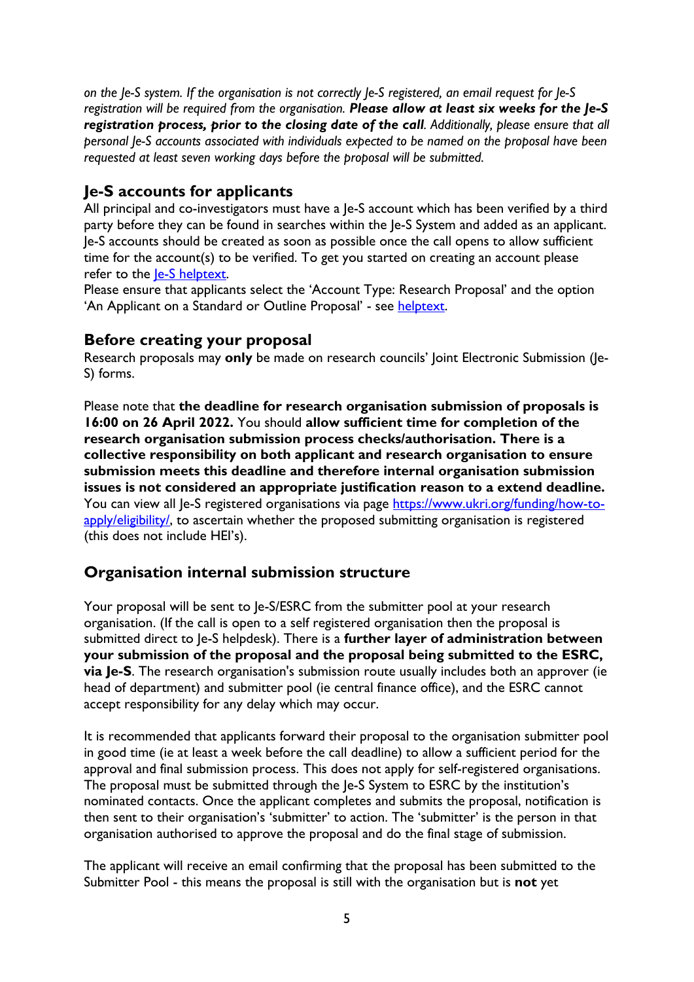*on the Je-S system. If the organisation is not correctly Je-S registered, an email request for Je-S registration will be required from the organisation. Please allow at least six weeks for the Je-S registration process, prior to the closing date of the call. Additionally, please ensure that all personal Je-S accounts associated with individuals expected to be named on the proposal have been requested at least seven working days before the proposal will be submitted.*

## <span id="page-4-0"></span>**Je-S accounts for applicants**

All principal and co-investigators must have a Je-S account which has been verified by a third party before they can be found in searches within the Je-S System and added as an applicant. Je-S accounts should be created as soon as possible once the call opens to allow sufficient time for the account(s) to be verified. To get you started on creating an account please refer to the [Je-S helptext.](https://je-s.rcuk.ac.uk/Handbook/pages/SettingupaJeSaccount/SettingupaJeSaccount.htm)

Please ensure that applicants select the 'Account Type: Research Proposal' and the option 'An Applicant on a Standard or Outline Proposal' - see [helptext.](https://je-s.rcuk.ac.uk/Handbook/pages/SettingupaJeSaccount/SettingupaJeSaccount.htm)

## <span id="page-4-1"></span>**Before creating your proposal**

Research proposals may **only** be made on research councils' Joint Electronic Submission (Je-S) forms.

Please note that **the deadline for research organisation submission of proposals is 16:00 on 26 April 2022.** You should **allow sufficient time for completion of the research organisation submission process checks/authorisation. There is a collective responsibility on both applicant and research organisation to ensure submission meets this deadline and therefore internal organisation submission issues is not considered an appropriate justification reason to a extend deadline.** You can view all Je-S registered organisations via page [https://www.ukri.org/funding/how-to](https://www.ukri.org/funding/how-to-apply/eligibility/)[apply/eligibility/,](https://www.ukri.org/funding/how-to-apply/eligibility/) to ascertain whether the proposed submitting organisation is registered (this does not include HEI's).

## <span id="page-4-2"></span>**Organisation internal submission structure**

Your proposal will be sent to Je-S/ESRC from the submitter pool at your research organisation. (If the call is open to a self registered organisation then the proposal is submitted direct to Je-S helpdesk). There is a **further layer of administration between your submission of the proposal and the proposal being submitted to the ESRC, via Je-S**. The research organisation's submission route usually includes both an approver (ie head of department) and submitter pool (ie central finance office), and the ESRC cannot accept responsibility for any delay which may occur.

It is recommended that applicants forward their proposal to the organisation submitter pool in good time (ie at least a week before the call deadline) to allow a sufficient period for the approval and final submission process. This does not apply for self-registered organisations. The proposal must be submitted through the Je-S System to ESRC by the institution's nominated contacts. Once the applicant completes and submits the proposal, notification is then sent to their organisation's 'submitter' to action. The 'submitter' is the person in that organisation authorised to approve the proposal and do the final stage of submission.

The applicant will receive an email confirming that the proposal has been submitted to the Submitter Pool - this means the proposal is still with the organisation but is **not** yet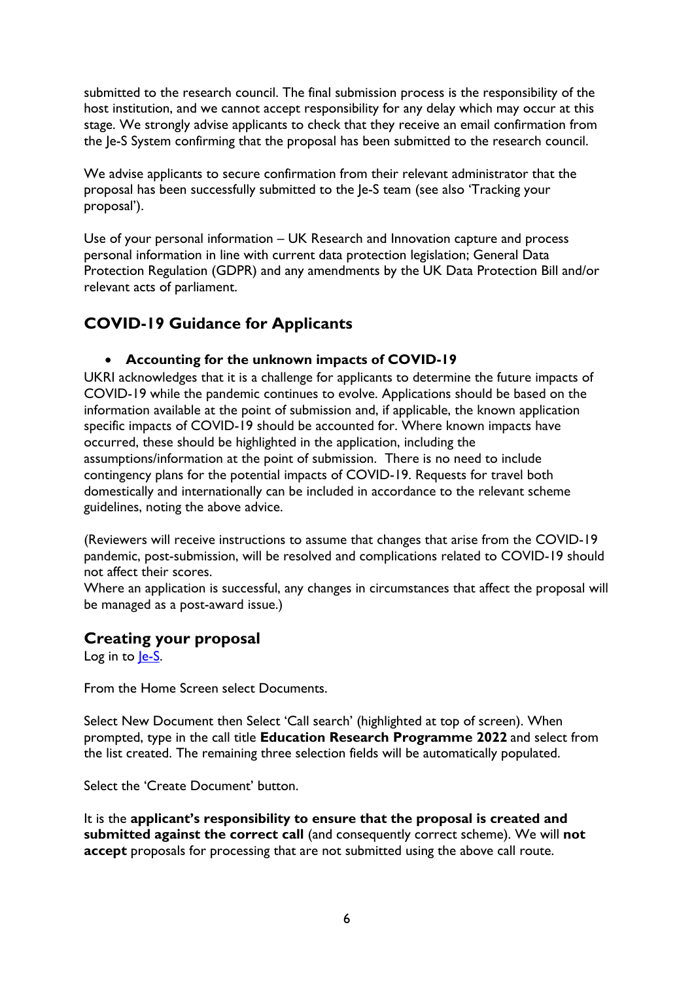submitted to the research council. The final submission process is the responsibility of the host institution, and we cannot accept responsibility for any delay which may occur at this stage. We strongly advise applicants to check that they receive an email confirmation from the Je-S System confirming that the proposal has been submitted to the research council.

We advise applicants to secure confirmation from their relevant administrator that the proposal has been successfully submitted to the Je-S team (see also 'Tracking your proposal').

Use of your personal information – UK Research and Innovation capture and process personal information in line with current data protection legislation; General Data Protection Regulation (GDPR) and any amendments by the UK Data Protection Bill and/or relevant acts of parliament.

# <span id="page-5-0"></span>**COVID-19 Guidance for Applicants**

#### • **Accounting for the unknown impacts of COVID-19**

UKRI acknowledges that it is a challenge for applicants to determine the future impacts of COVID-19 while the pandemic continues to evolve. Applications should be based on the information available at the point of submission and, if applicable, the known application specific impacts of COVID-19 should be accounted for. Where known impacts have occurred, these should be highlighted in the application, including the assumptions/information at the point of submission. There is no need to include contingency plans for the potential impacts of COVID-19. Requests for travel both domestically and internationally can be included in accordance to the relevant scheme guidelines, noting the above advice.

(Reviewers will receive instructions to assume that changes that arise from the COVID-19 pandemic, post-submission, will be resolved and complications related to COVID-19 should not affect their scores.

Where an application is successful, any changes in circumstances that affect the proposal will be managed as a post-award issue.)

## <span id="page-5-1"></span>**Creating your proposal**

Log in to le-S.

From the Home Screen select Documents.

Select New Document then Select 'Call search' (highlighted at top of screen). When prompted, type in the call title **Education Research Programme 2022** and select from the list created. The remaining three selection fields will be automatically populated.

Select the 'Create Document' button.

It is the **applicant's responsibility to ensure that the proposal is created and submitted against the correct call** (and consequently correct scheme). We will **not accept** proposals for processing that are not submitted using the above call route.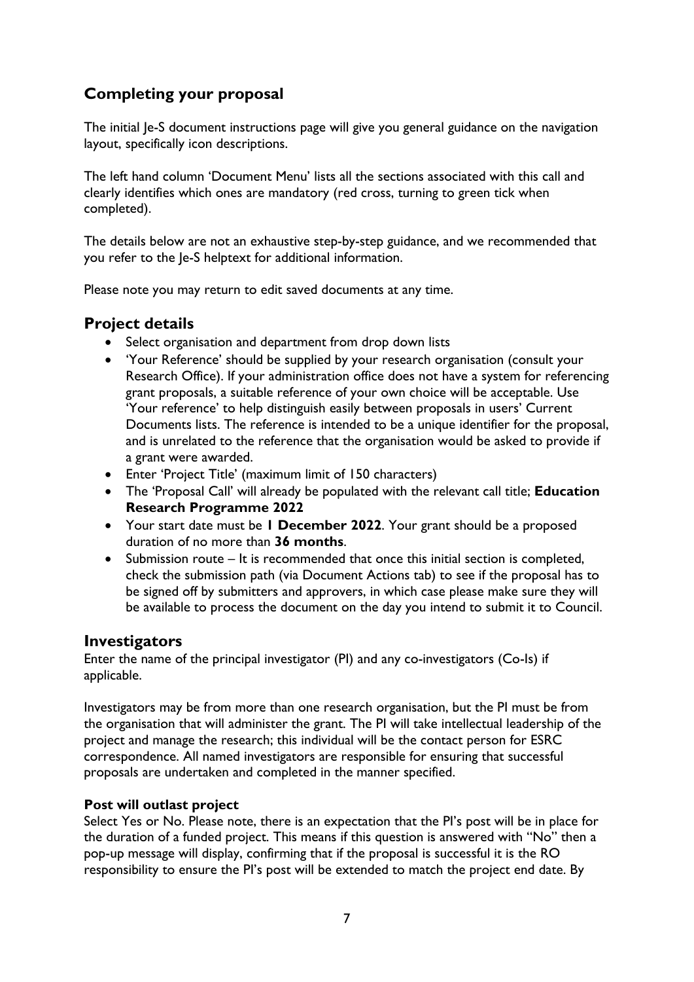# <span id="page-6-0"></span>**Completing your proposal**

The initial Je-S document instructions page will give you general guidance on the navigation layout, specifically icon descriptions.

The left hand column 'Document Menu' lists all the sections associated with this call and clearly identifies which ones are mandatory (red cross, turning to green tick when completed).

The details below are not an exhaustive step-by-step guidance, and we recommended that you refer to the Je-S helptext for additional information.

Please note you may return to edit saved documents at any time.

## <span id="page-6-1"></span>**Project details**

- Select organisation and department from drop down lists
- 'Your Reference' should be supplied by your research organisation (consult your Research Office). If your administration office does not have a system for referencing grant proposals, a suitable reference of your own choice will be acceptable. Use 'Your reference' to help distinguish easily between proposals in users' Current Documents lists. The reference is intended to be a unique identifier for the proposal, and is unrelated to the reference that the organisation would be asked to provide if a grant were awarded.
- Enter 'Project Title' (maximum limit of 150 characters)
- The 'Proposal Call' will already be populated with the relevant call title; **Education Research Programme 2022**
- Your start date must be **1 December 2022**. Your grant should be a proposed duration of no more than **36 months**.
- Submission route It is recommended that once this initial section is completed, check the submission path (via Document Actions tab) to see if the proposal has to be signed off by submitters and approvers, in which case please make sure they will be available to process the document on the day you intend to submit it to Council.

#### <span id="page-6-2"></span>**Investigators**

Enter the name of the principal investigator (PI) and any co-investigators (Co-Is) if applicable.

Investigators may be from more than one research organisation, but the PI must be from the organisation that will administer the grant. The PI will take intellectual leadership of the project and manage the research; this individual will be the contact person for ESRC correspondence. All named investigators are responsible for ensuring that successful proposals are undertaken and completed in the manner specified.

#### **Post will outlast project**

Select Yes or No. Please note, there is an expectation that the PI's post will be in place for the duration of a funded project. This means if this question is answered with "No" then a pop-up message will display, confirming that if the proposal is successful it is the RO responsibility to ensure the PI's post will be extended to match the project end date. By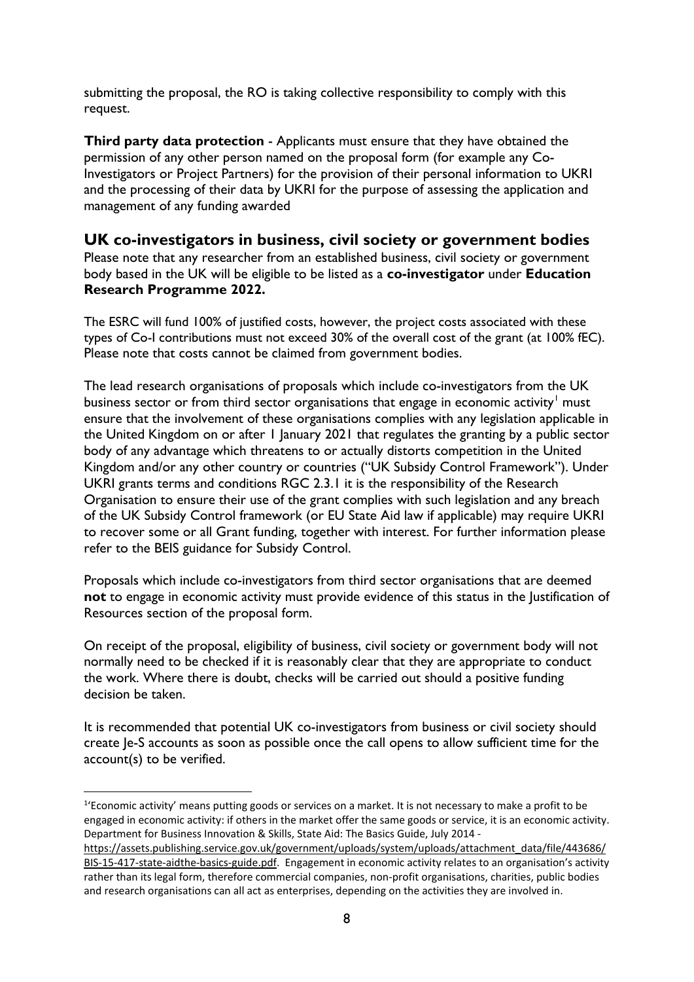submitting the proposal, the RO is taking collective responsibility to comply with this request.

**Third party data protection** - Applicants must ensure that they have obtained the permission of any other person named on the proposal form (for example any Co-Investigators or Project Partners) for the provision of their personal information to UKRI and the processing of their data by UKRI for the purpose of assessing the application and management of any funding awarded

#### <span id="page-7-0"></span>**UK co-investigators in business, civil society or government bodies**

Please note that any researcher from an established business, civil society or government body based in the UK will be eligible to be listed as a **co-investigator** under **Education Research Programme 2022.** 

The ESRC will fund 100% of justified costs, however, the project costs associated with these types of Co-I contributions must not exceed 30% of the overall cost of the grant (at 100% fEC). Please note that costs cannot be claimed from government bodies.

The lead research organisations of proposals which include co-investigators from the UK business sector or from third sector organisations that engage in economic activity<sup>[1](#page-7-1)</sup> must ensure that the involvement of these organisations complies with any legislation applicable in the United Kingdom on or after 1 January 2021 that regulates the granting by a public sector body of any advantage which threatens to or actually distorts competition in the United Kingdom and/or any other country or countries ("UK Subsidy Control Framework"). Under UKRI grants terms and conditions RGC 2.3.1 it is the responsibility of the Research Organisation to ensure their use of the grant complies with such legislation and any breach of the UK Subsidy Control framework (or EU State Aid law if applicable) may require UKRI to recover some or all Grant funding, together with interest. For further information please refer to the BEIS guidance for Subsidy Control.

Proposals which include co-investigators from third sector organisations that are deemed **not** to engage in economic activity must provide evidence of this status in the Justification of Resources section of the proposal form.

On receipt of the proposal, eligibility of business, civil society or government body will not normally need to be checked if it is reasonably clear that they are appropriate to conduct the work. Where there is doubt, checks will be carried out should a positive funding decision be taken.

It is recommended that potential UK co-investigators from business or civil society should create Je-S accounts as soon as possible once the call opens to allow sufficient time for the account(s) to be verified.

<span id="page-7-1"></span><sup>&</sup>lt;sup>1</sup>'Economic activity' means putting goods or services on a market. It is not necessary to make a profit to be engaged in economic activity: if others in the market offer the same goods or service, it is an economic activity. Department for Business Innovation & Skills, State Aid: The Basics Guide, July 2014 -

[https://assets.publishing.service.gov.uk/government/uploads/system/uploads/attachment\\_data/file/443686/](https://eur01.safelinks.protection.outlook.com/?url=https%3A%2F%2Fassets.publishing.service.gov.uk%2Fgovernment%2Fuploads%2Fsystem%2Fuploads%2Fattachment_data%2Ffile%2F443686%2FBIS-15-417-state-aidthe-basics-guide.pdf&data=04%7C01%7CJulian.Style%40esrc.ukri.org%7C698ff429d0cf449ff2bb08d99961c172%7C2dcfd016f9df488cb16b68345b59afb7%7C0%7C0%7C637709467394267181%7CUnknown%7CTWFpbGZsb3d8eyJWIjoiMC4wLjAwMDAiLCJQIjoiV2luMzIiLCJBTiI6Ik1haWwiLCJXVCI6Mn0%3D%7C1000&sdata=ZuiRexMbE3XfKjDuuuMn96f2FMG04w%2FdfEW7lO6q0VY%3D&reserved=0) [BIS-15-417-state-aidthe-basics-guide.pdf.](https://eur01.safelinks.protection.outlook.com/?url=https%3A%2F%2Fassets.publishing.service.gov.uk%2Fgovernment%2Fuploads%2Fsystem%2Fuploads%2Fattachment_data%2Ffile%2F443686%2FBIS-15-417-state-aidthe-basics-guide.pdf&data=04%7C01%7CJulian.Style%40esrc.ukri.org%7C698ff429d0cf449ff2bb08d99961c172%7C2dcfd016f9df488cb16b68345b59afb7%7C0%7C0%7C637709467394267181%7CUnknown%7CTWFpbGZsb3d8eyJWIjoiMC4wLjAwMDAiLCJQIjoiV2luMzIiLCJBTiI6Ik1haWwiLCJXVCI6Mn0%3D%7C1000&sdata=ZuiRexMbE3XfKjDuuuMn96f2FMG04w%2FdfEW7lO6q0VY%3D&reserved=0) Engagement in economic activity relates to an organisation's activity rather than its legal form, therefore commercial companies, non-profit organisations, charities, public bodies and research organisations can all act as enterprises, depending on the activities they are involved in.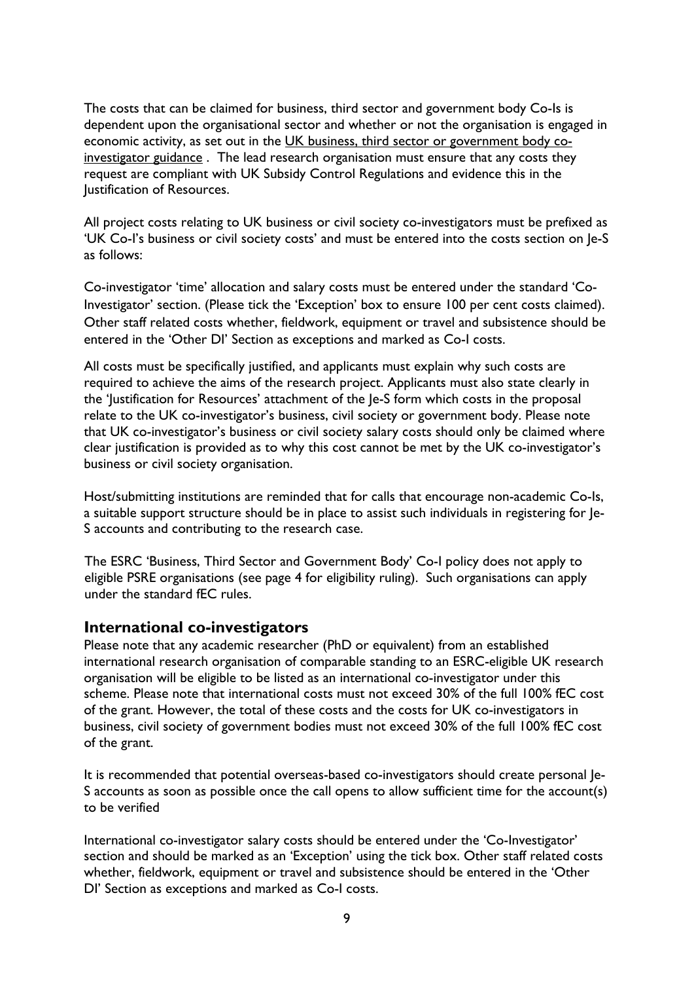The costs that can be claimed for business, third sector and government body Co-Is is dependent upon the organisational sector and whether or not the organisation is engaged in economic activity, as set out in the [UK business, third sector or government body co](https://eur01.safelinks.protection.outlook.com/?url=https%3A%2F%2Fwww.ukri.org%2Fwp-content%2Fuploads%2F2021%2F07%2FESRC-210721-Including-Co-investigatorsFromUK-businessThirdSectorOrGovernment.pdf&data=04%7C01%7CJulian.Style%40esrc.ukri.org%7C698ff429d0cf449ff2bb08d99961c172%7C2dcfd016f9df488cb16b68345b59afb7%7C0%7C0%7C637709467394257208%7CUnknown%7CTWFpbGZsb3d8eyJWIjoiMC4wLjAwMDAiLCJQIjoiV2luMzIiLCJBTiI6Ik1haWwiLCJXVCI6Mn0%3D%7C1000&sdata=751VEOYY9K%2F%2BDefQW9h7K%2FKdngBaHJFKjHev0dD0g1Y%3D&reserved=0)[investigator guidance](https://eur01.safelinks.protection.outlook.com/?url=https%3A%2F%2Fwww.ukri.org%2Fwp-content%2Fuploads%2F2021%2F07%2FESRC-210721-Including-Co-investigatorsFromUK-businessThirdSectorOrGovernment.pdf&data=04%7C01%7CJulian.Style%40esrc.ukri.org%7C698ff429d0cf449ff2bb08d99961c172%7C2dcfd016f9df488cb16b68345b59afb7%7C0%7C0%7C637709467394257208%7CUnknown%7CTWFpbGZsb3d8eyJWIjoiMC4wLjAwMDAiLCJQIjoiV2luMzIiLCJBTiI6Ik1haWwiLCJXVCI6Mn0%3D%7C1000&sdata=751VEOYY9K%2F%2BDefQW9h7K%2FKdngBaHJFKjHev0dD0g1Y%3D&reserved=0) . The lead research organisation must ensure that any costs they request are compliant with UK Subsidy Control Regulations and evidence this in the Justification of Resources.

All project costs relating to UK business or civil society co-investigators must be prefixed as 'UK Co-I's business or civil society costs' and must be entered into the costs section on Je-S as follows:

Co-investigator 'time' allocation and salary costs must be entered under the standard 'Co-Investigator' section. (Please tick the 'Exception' box to ensure 100 per cent costs claimed). Other staff related costs whether, fieldwork, equipment or travel and subsistence should be entered in the 'Other DI' Section as exceptions and marked as Co-I costs.

All costs must be specifically justified, and applicants must explain why such costs are required to achieve the aims of the research project. Applicants must also state clearly in the 'Justification for Resources' attachment of the Je-S form which costs in the proposal relate to the UK co-investigator's business, civil society or government body. Please note that UK co-investigator's business or civil society salary costs should only be claimed where clear justification is provided as to why this cost cannot be met by the UK co-investigator's business or civil society organisation.

Host/submitting institutions are reminded that for calls that encourage non-academic Co-Is, a suitable support structure should be in place to assist such individuals in registering for Je-S accounts and contributing to the research case.

The ESRC 'Business, Third Sector and Government Body' Co-I policy does not apply to eligible PSRE organisations (see page 4 for eligibility ruling). Such organisations can apply under the standard fEC rules.

#### <span id="page-8-0"></span>**International co-investigators**

Please note that any academic researcher (PhD or equivalent) from an established international research organisation of comparable standing to an ESRC-eligible UK research organisation will be eligible to be listed as an international co-investigator under this scheme. Please note that international costs must not exceed 30% of the full 100% fEC cost of the grant. However, the total of these costs and the costs for UK co-investigators in business, civil society of government bodies must not exceed 30% of the full 100% fEC cost of the grant.

It is recommended that potential overseas-based co-investigators should create personal Je-S accounts as soon as possible once the call opens to allow sufficient time for the account(s) to be verified

International co-investigator salary costs should be entered under the 'Co-Investigator' section and should be marked as an 'Exception' using the tick box. Other staff related costs whether, fieldwork, equipment or travel and subsistence should be entered in the 'Other DI' Section as exceptions and marked as Co-I costs.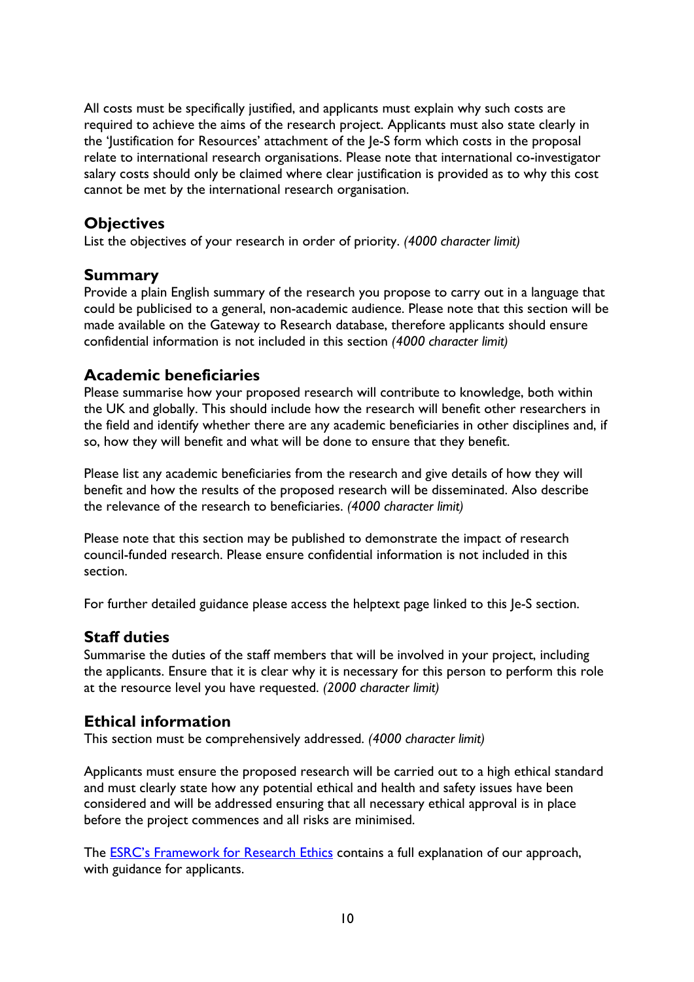All costs must be specifically justified, and applicants must explain why such costs are required to achieve the aims of the research project. Applicants must also state clearly in the 'Justification for Resources' attachment of the Je-S form which costs in the proposal relate to international research organisations. Please note that international co-investigator salary costs should only be claimed where clear justification is provided as to why this cost cannot be met by the international research organisation.

## <span id="page-9-0"></span>**Objectives**

List the objectives of your research in order of priority. *(4000 character limit)*

## <span id="page-9-1"></span>**Summary**

Provide a plain English summary of the research you propose to carry out in a language that could be publicised to a general, non-academic audience. Please note that this section will be made available on the Gateway to Research database, therefore applicants should ensure confidential information is not included in this section *(4000 character limit)*

## <span id="page-9-2"></span>**Academic beneficiaries**

Please summarise how your proposed research will contribute to knowledge, both within the UK and globally. This should include how the research will benefit other researchers in the field and identify whether there are any academic beneficiaries in other disciplines and, if so, how they will benefit and what will be done to ensure that they benefit.

Please list any academic beneficiaries from the research and give details of how they will benefit and how the results of the proposed research will be disseminated. Also describe the relevance of the research to beneficiaries. *(4000 character limit)*

Please note that this section may be published to demonstrate the impact of research council-funded research. Please ensure confidential information is not included in this section.

For further detailed guidance please access the helptext page linked to this Je-S section.

#### <span id="page-9-3"></span>**Staff duties**

Summarise the duties of the staff members that will be involved in your project, including the applicants. Ensure that it is clear why it is necessary for this person to perform this role at the resource level you have requested. *(2000 character limit)*

## <span id="page-9-4"></span>**Ethical information**

This section must be comprehensively addressed. *(4000 character limit)*

Applicants must ensure the proposed research will be carried out to a high ethical standard and must clearly state how any potential ethical and health and safety issues have been considered and will be addressed ensuring that all necessary ethical approval is in place before the project commences and all risks are minimised.

The ESRC's [Framework for Research](https://esrc.ukri.org/funding/guidance-for-applicants/research-ethics/) Ethics contains a full explanation of our approach, with guidance for applicants.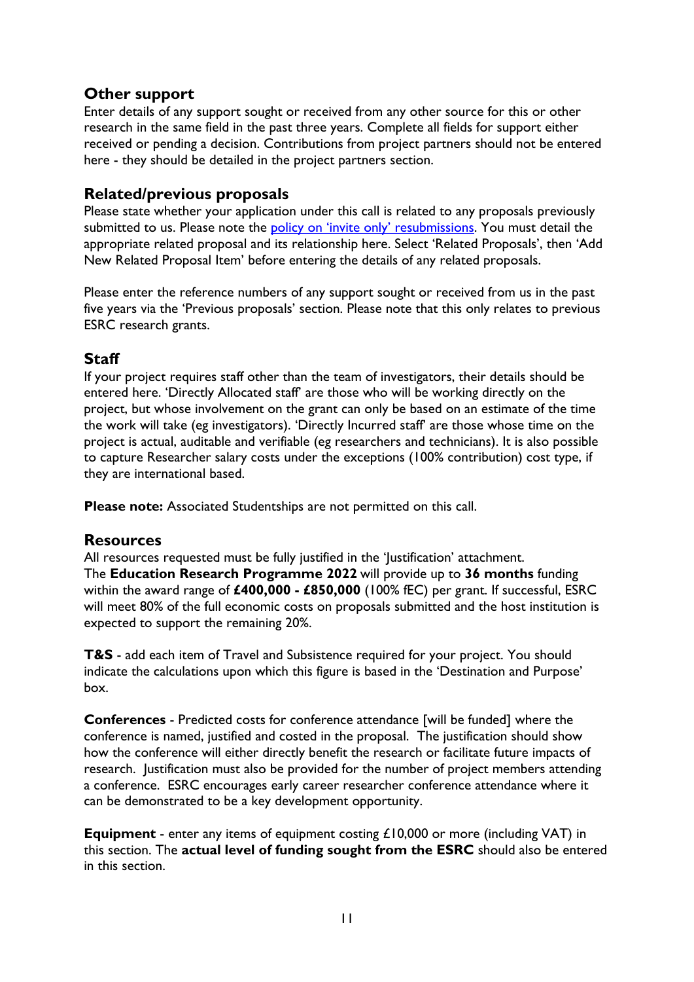## <span id="page-10-0"></span>**Other support**

Enter details of any support sought or received from any other source for this or other research in the same field in the past three years. Complete all fields for support either received or pending a decision. Contributions from project partners should not be entered here - they should be detailed in the project partners section.

## <span id="page-10-1"></span>**Related/previous proposals**

Please state whether your application under this call is related to any proposals previously submitted to us. Please note the [policy on 'invite only' resubmissions.](https://esrc.ukri.org/funding/guidance-for-applicants/resubmissions-policy/) You must detail the appropriate related proposal and its relationship here. Select 'Related Proposals', then 'Add New Related Proposal Item' before entering the details of any related proposals.

Please enter the reference numbers of any support sought or received from us in the past five years via the 'Previous proposals' section. Please note that this only relates to previous ESRC research grants.

## <span id="page-10-2"></span>**Staff**

If your project requires staff other than the team of investigators, their details should be entered here. 'Directly Allocated staff' are those who will be working directly on the project, but whose involvement on the grant can only be based on an estimate of the time the work will take (eg investigators). 'Directly Incurred staff' are those whose time on the project is actual, auditable and verifiable (eg researchers and technicians). It is also possible to capture Researcher salary costs under the exceptions (100% contribution) cost type, if they are international based.

**Please note:** Associated Studentships are not permitted on this call.

#### <span id="page-10-3"></span>**Resources**

All resources requested must be fully justified in the 'Justification' attachment. The **Education Research Programme 2022** will provide up to **36 months** funding within the award range of **£400,000 - £850,000** (100% fEC) per grant. If successful, ESRC will meet 80% of the full economic costs on proposals submitted and the host institution is expected to support the remaining 20%.

**T&S** - add each item of Travel and Subsistence required for your project. You should indicate the calculations upon which this figure is based in the 'Destination and Purpose' box.

**Conferences** - Predicted costs for conference attendance [will be funded] where the conference is named, justified and costed in the proposal. The justification should show how the conference will either directly benefit the research or facilitate future impacts of research. Justification must also be provided for the number of project members attending a conference. ESRC encourages early career researcher conference attendance where it can be demonstrated to be a key development opportunity.

**Equipment** - enter any items of equipment costing £10,000 or more (including VAT) in this section. The **actual level of funding sought from the ESRC** should also be entered in this section.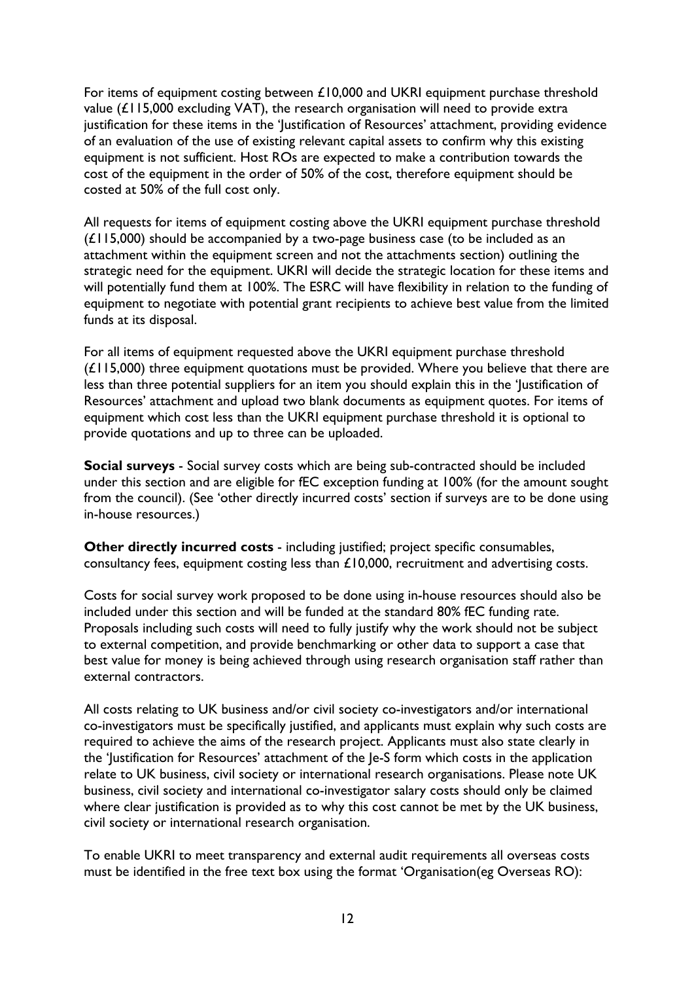For items of equipment costing between £10,000 and UKRI equipment purchase threshold value  $(L115,000$  excluding VAT), the research organisation will need to provide extra justification for these items in the 'Justification of Resources' attachment, providing evidence of an evaluation of the use of existing relevant capital assets to confirm why this existing equipment is not sufficient. Host ROs are expected to make a contribution towards the cost of the equipment in the order of 50% of the cost, therefore equipment should be costed at 50% of the full cost only.

All requests for items of equipment costing above the UKRI equipment purchase threshold (£115,000) should be accompanied by a two-page business case (to be included as an attachment within the equipment screen and not the attachments section) outlining the strategic need for the equipment. UKRI will decide the strategic location for these items and will potentially fund them at 100%. The ESRC will have flexibility in relation to the funding of equipment to negotiate with potential grant recipients to achieve best value from the limited funds at its disposal.

For all items of equipment requested above the UKRI equipment purchase threshold (£115,000) three equipment quotations must be provided. Where you believe that there are less than three potential suppliers for an item you should explain this in the 'Justification of Resources' attachment and upload two blank documents as equipment quotes. For items of equipment which cost less than the UKRI equipment purchase threshold it is optional to provide quotations and up to three can be uploaded.

**Social surveys** - Social survey costs which are being sub-contracted should be included under this section and are eligible for fEC exception funding at 100% (for the amount sought from the council). (See 'other directly incurred costs' section if surveys are to be done using in-house resources.)

**Other directly incurred costs** - including justified; project specific consumables, consultancy fees, equipment costing less than £10,000, recruitment and advertising costs.

Costs for social survey work proposed to be done using in-house resources should also be included under this section and will be funded at the standard 80% fEC funding rate. Proposals including such costs will need to fully justify why the work should not be subject to external competition, and provide benchmarking or other data to support a case that best value for money is being achieved through using research organisation staff rather than external contractors.

All costs relating to UK business and/or civil society co-investigators and/or international co-investigators must be specifically justified, and applicants must explain why such costs are required to achieve the aims of the research project. Applicants must also state clearly in the 'Justification for Resources' attachment of the Je-S form which costs in the application relate to UK business, civil society or international research organisations. Please note UK business, civil society and international co-investigator salary costs should only be claimed where clear justification is provided as to why this cost cannot be met by the UK business, civil society or international research organisation.

To enable UKRI to meet transparency and external audit requirements all overseas costs must be identified in the free text box using the format 'Organisation(eg Overseas RO):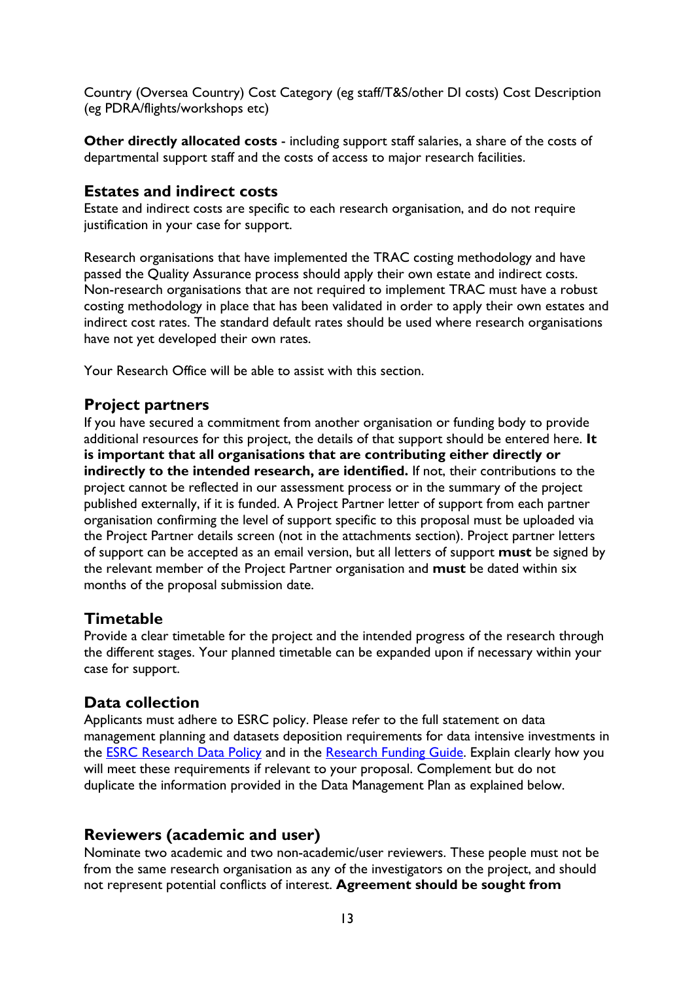Country (Oversea Country) Cost Category (eg staff/T&S/other DI costs) Cost Description (eg PDRA/flights/workshops etc)

**Other directly allocated costs** - including support staff salaries, a share of the costs of departmental support staff and the costs of access to major research facilities.

## <span id="page-12-0"></span>**Estates and indirect costs**

Estate and indirect costs are specific to each research organisation, and do not require justification in your case for support.

Research organisations that have implemented the TRAC costing methodology and have passed the Quality Assurance process should apply their own estate and indirect costs. Non-research organisations that are not required to implement TRAC must have a robust costing methodology in place that has been validated in order to apply their own estates and indirect cost rates. The standard default rates should be used where research organisations have not yet developed their own rates.

Your Research Office will be able to assist with this section.

#### <span id="page-12-1"></span>**Project partners**

If you have secured a commitment from another organisation or funding body to provide additional resources for this project, the details of that support should be entered here. **It is important that all organisations that are contributing either directly or indirectly to the intended research, are identified.** If not, their contributions to the project cannot be reflected in our assessment process or in the summary of the project published externally, if it is funded. A Project Partner letter of support from each partner organisation confirming the level of support specific to this proposal must be uploaded via the Project Partner details screen (not in the attachments section). Project partner letters of support can be accepted as an email version, but all letters of support **must** be signed by the relevant member of the Project Partner organisation and **must** be dated within six months of the proposal submission date.

#### <span id="page-12-2"></span>**Timetable**

Provide a clear timetable for the project and the intended progress of the research through the different stages. Your planned timetable can be expanded upon if necessary within your case for support.

#### <span id="page-12-3"></span>**Data collection**

Applicants must adhere to ESRC policy. Please refer to the full statement on data management planning and datasets deposition requirements for data intensive investments in the **ESRC** Research Data Policy and in the [Research Funding](https://esrc.ukri.org/funding/guidance-for-applicants/research-funding-guide/) Guide. Explain clearly how you will meet these requirements if relevant to your proposal. Complement but do not duplicate the information provided in the Data Management Plan as explained below.

#### <span id="page-12-4"></span>**Reviewers (academic and user)**

Nominate two academic and two non-academic/user reviewers. These people must not be from the same research organisation as any of the investigators on the project, and should not represent potential conflicts of interest. **Agreement should be sought from**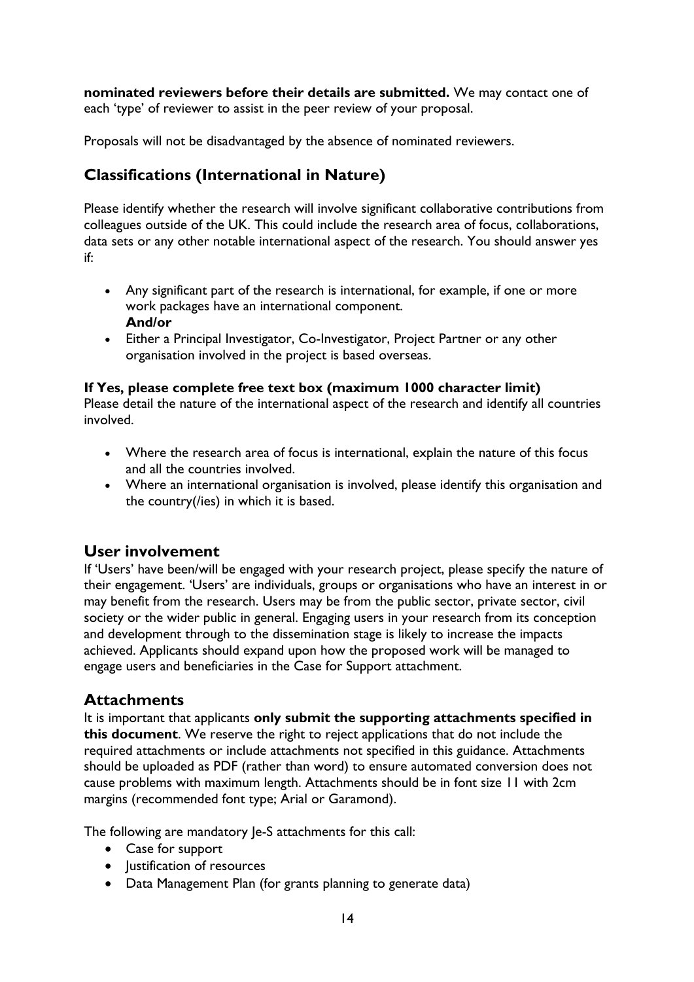**nominated reviewers before their details are submitted.** We may contact one of each 'type' of reviewer to assist in the peer review of your proposal.

Proposals will not be disadvantaged by the absence of nominated reviewers.

# <span id="page-13-0"></span>**Classifications (International in Nature)**

Please identify whether the research will involve significant collaborative contributions from colleagues outside of the UK. This could include the research area of focus, collaborations, data sets or any other notable international aspect of the research. You should answer yes if:

- Any significant part of the research is international, for example, if one or more work packages have an international component. **And/or**
- Either a Principal Investigator, Co-Investigator, Project Partner or any other organisation involved in the project is based overseas.

#### **If Yes, please complete free text box (maximum 1000 character limit)**

Please detail the nature of the international aspect of the research and identify all countries involved.

- Where the research area of focus is international, explain the nature of this focus and all the countries involved.
- Where an international organisation is involved, please identify this organisation and the country(/ies) in which it is based.

#### <span id="page-13-1"></span>**User involvement**

If 'Users' have been/will be engaged with your research project, please specify the nature of their engagement. 'Users' are individuals, groups or organisations who have an interest in or may benefit from the research. Users may be from the public sector, private sector, civil society or the wider public in general. Engaging users in your research from its conception and development through to the dissemination stage is likely to increase the impacts achieved. Applicants should expand upon how the proposed work will be managed to engage users and beneficiaries in the Case for Support attachment.

#### <span id="page-13-2"></span>**Attachments**

It is important that applicants **only submit the supporting attachments specified in this document**. We reserve the right to reject applications that do not include the required attachments or include attachments not specified in this guidance. Attachments should be uploaded as PDF (rather than word) to ensure automated conversion does not cause problems with maximum length. Attachments should be in font size 11 with 2cm margins (recommended font type; Arial or Garamond).

The following are mandatory Je-S attachments for this call:

- Case for support
- Justification of resources
- Data Management Plan (for grants planning to generate data)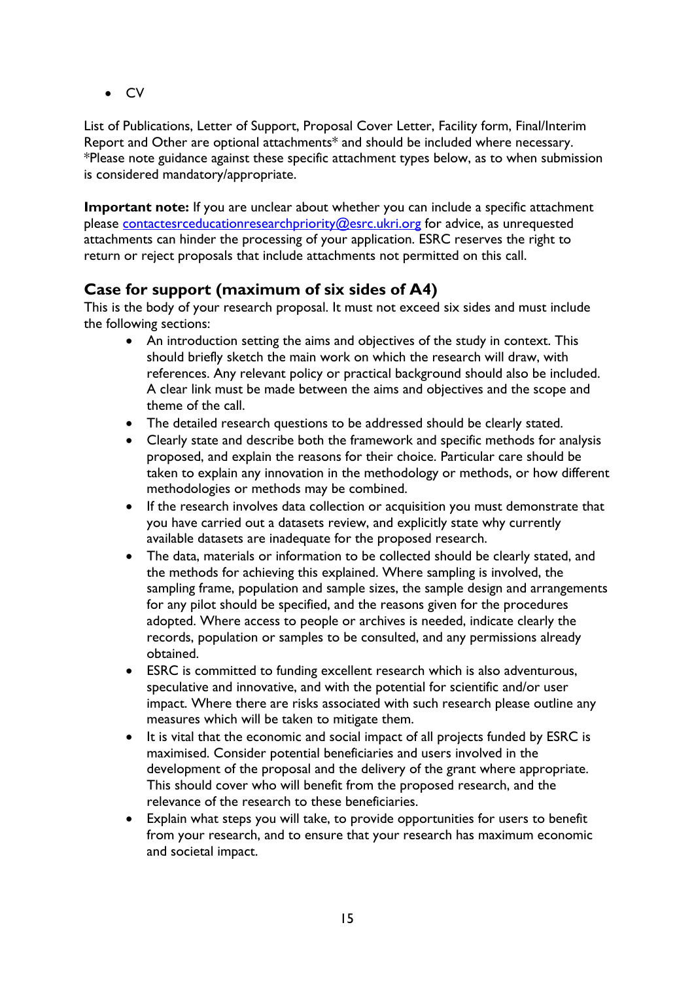• CV

List of Publications, Letter of Support, Proposal Cover Letter, Facility form, Final/Interim Report and Other are optional attachments\* and should be included where necessary. \*Please note guidance against these specific attachment types below, as to when submission is considered mandatory/appropriate.

**Important note:** If you are unclear about whether you can include a specific attachment please [contactesrceducationresearchpriority@esrc.ukri.org](mailto:contactesrceducationresearchpriority@esrc.ukri.org) for advice, as unrequested attachments can hinder the processing of your application. ESRC reserves the right to return or reject proposals that include attachments not permitted on this call.

## <span id="page-14-0"></span>**Case for support (maximum of six sides of A4)**

This is the body of your research proposal. It must not exceed six sides and must include the following sections:

- An introduction setting the aims and objectives of the study in context. This should briefly sketch the main work on which the research will draw, with references. Any relevant policy or practical background should also be included. A clear link must be made between the aims and objectives and the scope and theme of the call.
- The detailed research questions to be addressed should be clearly stated.
- Clearly state and describe both the framework and specific methods for analysis proposed, and explain the reasons for their choice. Particular care should be taken to explain any innovation in the methodology or methods, or how different methodologies or methods may be combined.
- If the research involves data collection or acquisition you must demonstrate that you have carried out a datasets review, and explicitly state why currently available datasets are inadequate for the proposed research.
- The data, materials or information to be collected should be clearly stated, and the methods for achieving this explained. Where sampling is involved, the sampling frame, population and sample sizes, the sample design and arrangements for any pilot should be specified, and the reasons given for the procedures adopted. Where access to people or archives is needed, indicate clearly the records, population or samples to be consulted, and any permissions already obtained.
- ESRC is committed to funding excellent research which is also adventurous, speculative and innovative, and with the potential for scientific and/or user impact. Where there are risks associated with such research please outline any measures which will be taken to mitigate them.
- It is vital that the economic and social impact of all projects funded by ESRC is maximised. Consider potential beneficiaries and users involved in the development of the proposal and the delivery of the grant where appropriate. This should cover who will benefit from the proposed research, and the relevance of the research to these beneficiaries.
- Explain what steps you will take, to provide opportunities for users to benefit from your research, and to ensure that your research has maximum economic and societal impact.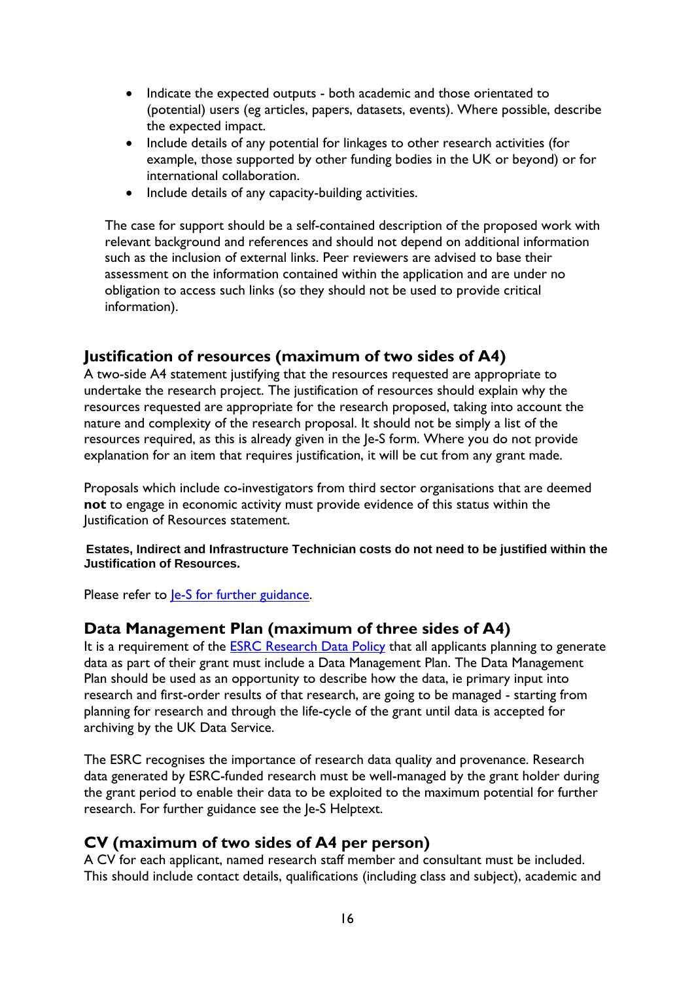- Indicate the expected outputs both academic and those orientated to (potential) users (eg articles, papers, datasets, events). Where possible, describe the expected impact.
- Include details of any potential for linkages to other research activities (for example, those supported by other funding bodies in the UK or beyond) or for international collaboration.
- Include details of any capacity-building activities.

The case for support should be a self-contained description of the proposed work with relevant background and references and should not depend on additional information such as the inclusion of external links. Peer reviewers are advised to base their assessment on the information contained within the application and are under no obligation to access such links (so they should not be used to provide critical information).

## <span id="page-15-0"></span>**Justification of resources (maximum of two sides of A4)**

A two-side A4 statement justifying that the resources requested are appropriate to undertake the research project. The justification of resources should explain why the resources requested are appropriate for the research proposed, taking into account the nature and complexity of the research proposal. It should not be simply a list of the resources required, as this is already given in the Je-S form. Where you do not provide explanation for an item that requires justification, it will be cut from any grant made.

Proposals which include co-investigators from third sector organisations that are deemed **not** to engage in economic activity must provide evidence of this status within the Justification of Resources statement.

**Estates, Indirect and Infrastructure Technician costs do not need to be justified within the Justification of Resources.**

Please refer to <u>Je-S for further guidance</u>.

#### <span id="page-15-1"></span>**Data Management Plan (maximum of three sides of A4)**

It is a requirement of the [ESRC Research](https://esrc.ukri.org/funding/guidance-for-grant-holders/research-data-policy/) Data Policy that all applicants planning to generate data as part of their grant must include a Data Management Plan. The Data Management Plan should be used as an opportunity to describe how the data, ie primary input into research and first-order results of that research, are going to be managed - starting from planning for research and through the life-cycle of the grant until data is accepted for archiving by the UK Data Service.

The ESRC recognises the importance of research data quality and provenance. Research data generated by ESRC-funded research must be well-managed by the grant holder during the grant period to enable their data to be exploited to the maximum potential for further research. For further guidance see the Je-S Helptext.

#### <span id="page-15-2"></span>**CV (maximum of two sides of A4 per person)**

A CV for each applicant, named research staff member and consultant must be included. This should include contact details, qualifications (including class and subject), academic and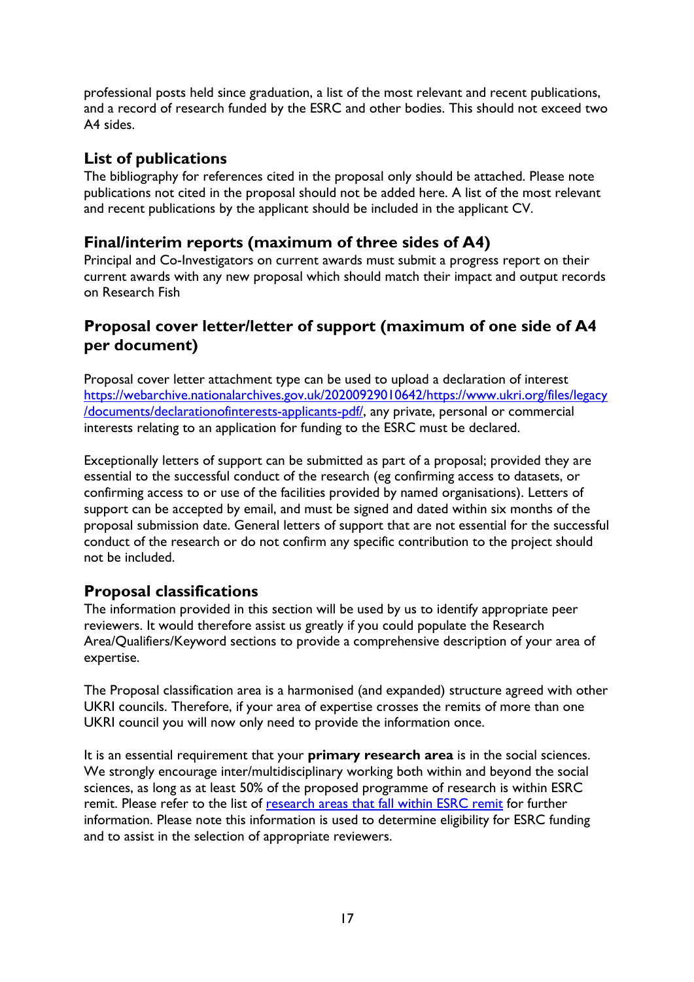professional posts held since graduation, a list of the most relevant and recent publications, and a record of research funded by the ESRC and other bodies. This should not exceed two A4 sides.

## <span id="page-16-0"></span>**List of publications**

The bibliography for references cited in the proposal only should be attached. Please note publications not cited in the proposal should not be added here. A list of the most relevant and recent publications by the applicant should be included in the applicant CV.

## <span id="page-16-1"></span>**Final/interim reports (maximum of three sides of A4)**

Principal and Co-Investigators on current awards must submit a progress report on their current awards with any new proposal which should match their impact and output records on Research Fish

## <span id="page-16-2"></span>**Proposal cover letter/letter of support (maximum of one side of A4 per document)**

Proposal cover letter attachment type can be used to upload a declaration of interest [https://webarchive.nationalarchives.gov.uk/20200929010642/https://www.ukri.org/files/legacy](https://webarchive.nationalarchives.gov.uk/20200929010642/https:/www.ukri.org/files/legacy/documents/declarationofinterests-applicants-pdf/) [/documents/declarationofinterests-applicants-pdf/,](https://webarchive.nationalarchives.gov.uk/20200929010642/https:/www.ukri.org/files/legacy/documents/declarationofinterests-applicants-pdf/) any private, personal or commercial interests relating to an application for funding to the ESRC must be declared.

Exceptionally letters of support can be submitted as part of a proposal; provided they are essential to the successful conduct of the research (eg confirming access to datasets, or confirming access to or use of the facilities provided by named organisations). Letters of support can be accepted by email, and must be signed and dated within six months of the proposal submission date. General letters of support that are not essential for the successful conduct of the research or do not confirm any specific contribution to the project should not be included.

#### <span id="page-16-3"></span>**Proposal classifications**

The information provided in this section will be used by us to identify appropriate peer reviewers. It would therefore assist us greatly if you could populate the Research Area/Qualifiers/Keyword sections to provide a comprehensive description of your area of expertise.

The Proposal classification area is a harmonised (and expanded) structure agreed with other UKRI councils. Therefore, if your area of expertise crosses the remits of more than one UKRI council you will now only need to provide the information once.

It is an essential requirement that your **primary research area** is in the social sciences. We strongly encourage inter/multidisciplinary working both within and beyond the social sciences, as long as at least 50% of the proposed programme of research is within ESRC remit. Please refer to the list of [research areas that fall within ESRC remit](https://esrc.ukri.org/about-us/what-is-social-science/social-science-disciplines/) for further information. Please note this information is used to determine eligibility for ESRC funding and to assist in the selection of appropriate reviewers.